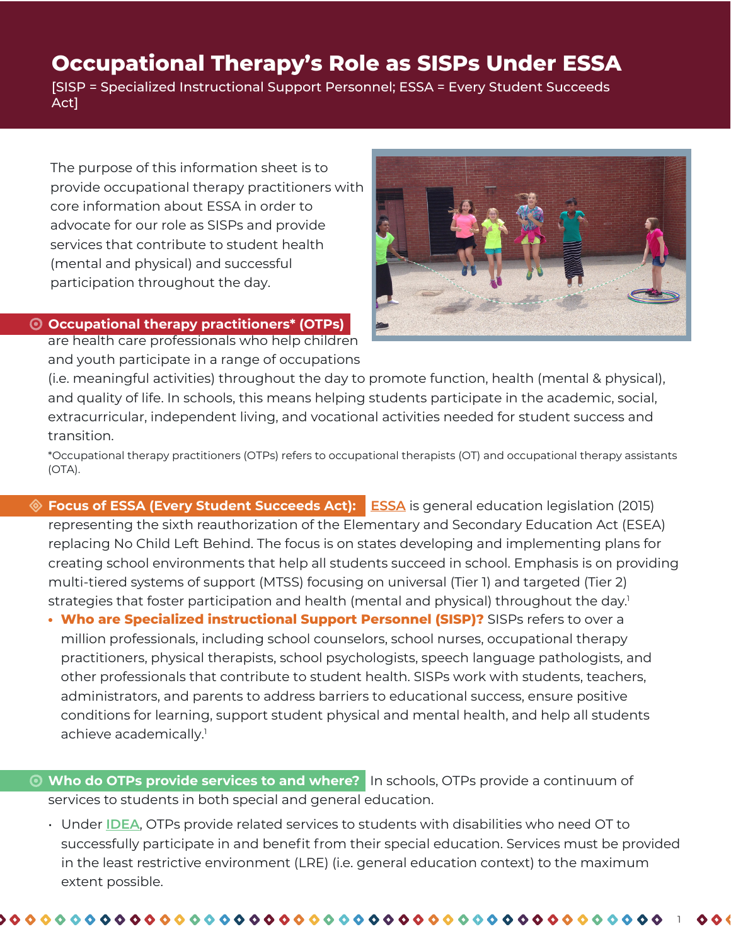# **Occupational Therapy's Role as SISPs Under ESSA**

[SISP = Specialized Instructional Support Personnel; ESSA = Every Student Succeeds Act]

The purpose of this information sheet is to provide occupational therapy practitioners with core information about ESSA in order to advocate for our role as SISPs and provide services that contribute to student health (mental and physical) and successful participation throughout the day.

# **Occupational therapy practitioners\* (OTPs)**

are health care professionals who help children and youth participate in a range of occupations



(i.e. meaningful activities) throughout the day to promote function, health (mental & physical), and quality of life. In schools, this means helping students participate in the academic, social, extracurricular, independent living, and vocational activities needed for student success and transition.

\*Occupational therapy practitioners (OTPs) refers to occupational therapists (OT) and occupational therapy assistants (OTA).

- **Focus of ESSA (Every Student Succeeds Act): [ESSA](https://www.ed.gov/esea)** is general education legislation (2015) representing the sixth reauthorization of the Elementary and Secondary Education Act (ESEA) replacing No Child Left Behind. The focus is on states developing and implementing plans for creating school environments that help all students succeed in school. Emphasis is on providing multi-tiered systems of support (MTSS) focusing on universal (Tier 1) and targeted (Tier 2) strategies that foster participation and health (mental and physical) throughout the day.<sup>1</sup>
	- **Who are Specialized instructional Support Personnel (SISP)?** SISPs refers to over a million professionals, including school counselors, school nurses, occupational therapy practitioners, physical therapists, school psychologists, speech language pathologists, and other professionals that contribute to student health. SISPs work with students, teachers, administrators, and parents to address barriers to educational success, ensure positive conditions for learning, support student physical and mental health, and help all students achieve academically.<sup>1</sup>
- **Who do OTPs provide services to and where?** In schools, OTPs provide a continuum of services to students in both special and general education.
	- Under **[IDEA](https://sites.ed.gov/idea/)**, OTPs provide related services to students with disabilities who need OT to successfully participate in and benefit from their special education. Services must be provided in the least restrictive environment (LRE) (i.e. general education context) to the maximum extent possible.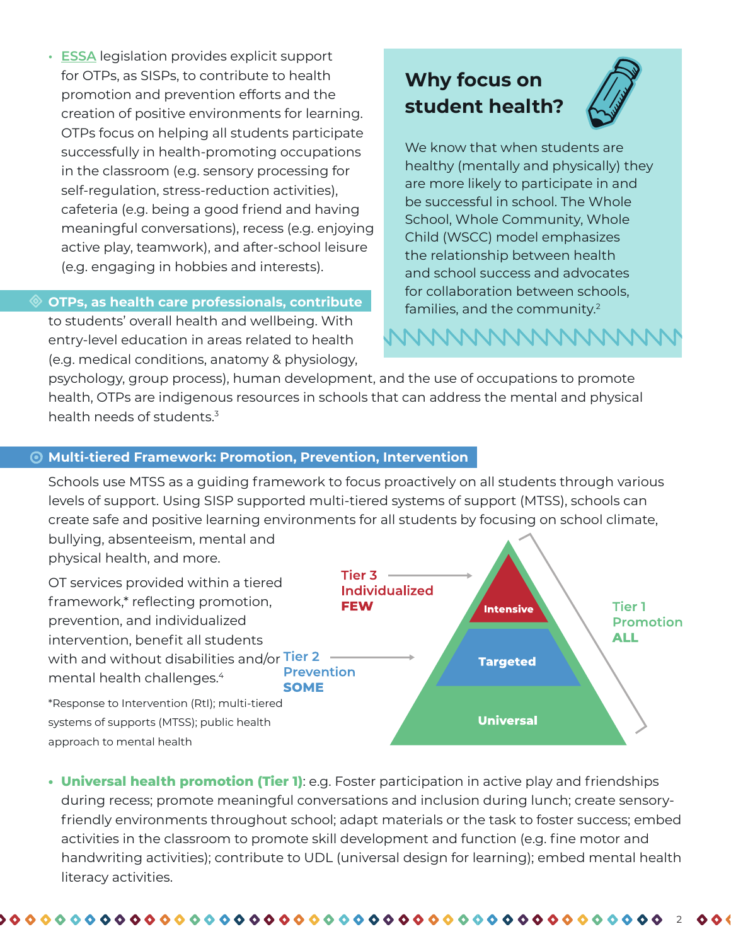**• [ESSA](https://www.ed.gov/esea)** legislation provides explicit support for OTPs, as SISPs, to contribute to health promotion and prevention efforts and the creation of positive environments for learning. OTPs focus on helping all students participate successfully in health-promoting occupations in the classroom (e.g. sensory processing for self-regulation, stress-reduction activities), cafeteria (e.g. being a good friend and having meaningful conversations), recess (e.g. enjoying active play, teamwork), and after-school leisure (e.g. engaging in hobbies and interests).

# **OTPs, as health care professionals, contribute**

to students' overall health and wellbeing. With entry-level education in areas related to health (e.g. medical conditions, anatomy & physiology,

# **Why focus on student health?**



We know that when students are healthy (mentally and physically) they are more likely to participate in and be successful in school. The Whole School, Whole Community, Whole Child (WSCC) model emphasizes the relationship between health and school success and advocates for collaboration between schools, families, and the community.2

# NNNNNNNNNNNNN

psychology, group process), human development, and the use of occupations to promote health, OTPs are indigenous resources in schools that can address the mental and physical health needs of students.<sup>3</sup>

# **Multi-tiered Framework: Promotion, Prevention, Intervention**

Schools use MTSS as a guiding framework to focus proactively on all students through various levels of support. Using SISP supported multi-tiered systems of support (MTSS), schools can create safe and positive learning environments for all students by focusing on school climate,

bullying, absenteeism, mental and physical health, and more.

OT services provided within a tiered framework,\* reflecting promotion, prevention, and individualized intervention, benefit all students with and without disabilities and/or Tier 2  $\longrightarrow$ mental health challenges.<sup>4</sup> **SOME** 



\*Response to Intervention (RtI); multi-tiered systems of supports (MTSS); public health approach to mental health

**• Universal health promotion (Tier 1)**: e.g. Foster participation in active play and friendships during recess; promote meaningful conversations and inclusion during lunch; create sensoryfriendly environments throughout school; adapt materials or the task to foster success; embed activities in the classroom to promote skill development and function (e.g. fine motor and handwriting activities); contribute to UDL (universal design for learning); embed mental health literacy activities.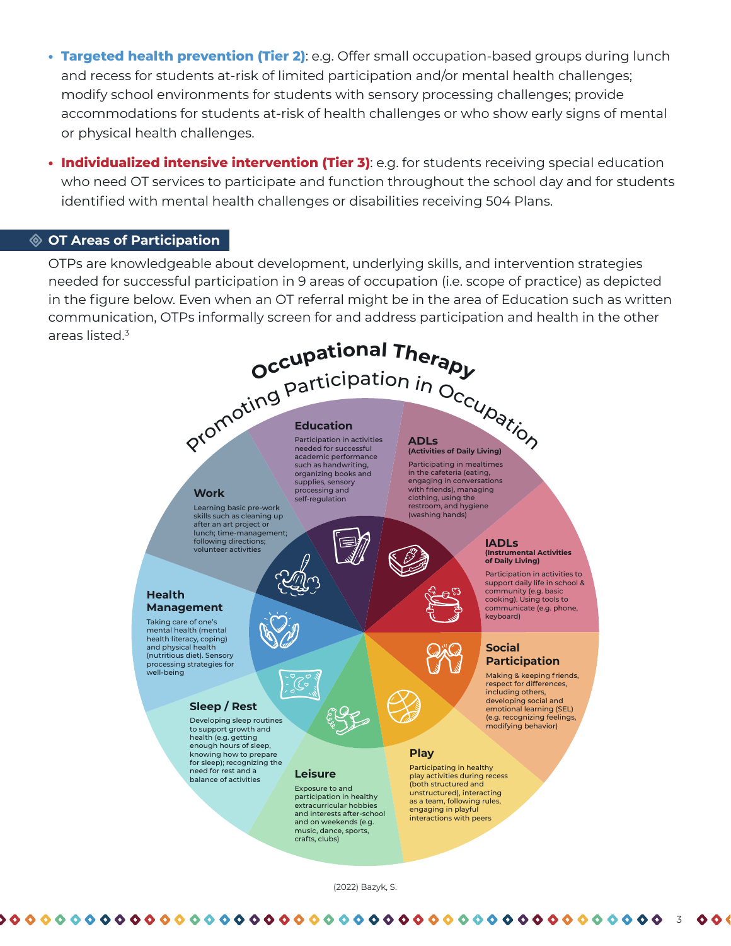- **• Targeted health prevention (Tier 2)**: e.g. Offer small occupation-based groups during lunch and recess for students at-risk of limited participation and/or mental health challenges; modify school environments for students with sensory processing challenges; provide accommodations for students at-risk of health challenges or who show early signs of mental or physical health challenges.
- **• Individualized intensive intervention (Tier 3)**: e.g. for students receiving special education who need OT services to participate and function throughout the school day and for students identified with mental health challenges or disabilities receiving 504 Plans.

# **OT Areas of Participation**

OTPs are knowledgeable about development, underlying skills, and intervention strategies needed for successful participation in 9 areas of occupation (i.e. scope of practice) as depicted in the figure below. Even when an OT referral might be in the area of Education such as written communication, OTPs informally screen for and address participation and health in the other areas listed.<sup>3</sup>



#### **Education**

academic performance such as handwriting, organizing books and supplies, sensory processing and self-regulation

Participating in mealtimes in the cafeteria (eating, engaging in conversations with friends), managing clothing, using the restroom, and hygiene (washing hands)

#### **IADLs (Instrumental Activities of Daily Living)**

Participation in activities to support daily life in school & community (e.g. basic cooking). Using tools to communicate (e.g. phone, keyboard)

#### **Social Participation**

Making & keeping friends, respect for differences, including others, developing social and emotional learning (SEL) (e.g. recognizing feelings, modifying behavior)

### **Play**

Participating in healthy play activities during recess (both structured and unstructured), interacting as a team, following rules, engaging in playful interactions with peers

### **Health Management**

Taking care of one's mental health (mental health literacy, coping) and physical health (nutritious diet). Sensory processing strategies for well-being

**Work**

Learning basic pre-work skills such as cleaning up after an art project or lunch; time-management; following directions; volunteer activities

### **Sleep / Rest**

Developing sleep routines to support growth and health (e.g. getting enough hours of sleep, knowing how to prepare for sleep); recognizing the need for rest and a balance of activities

(2022) Bazyk, S.

**Leisure** Exposure to and participation in healthy extracurricular hobbies and interests after-school and on weekends (e.g. music, dance, sports, crafts, clubs)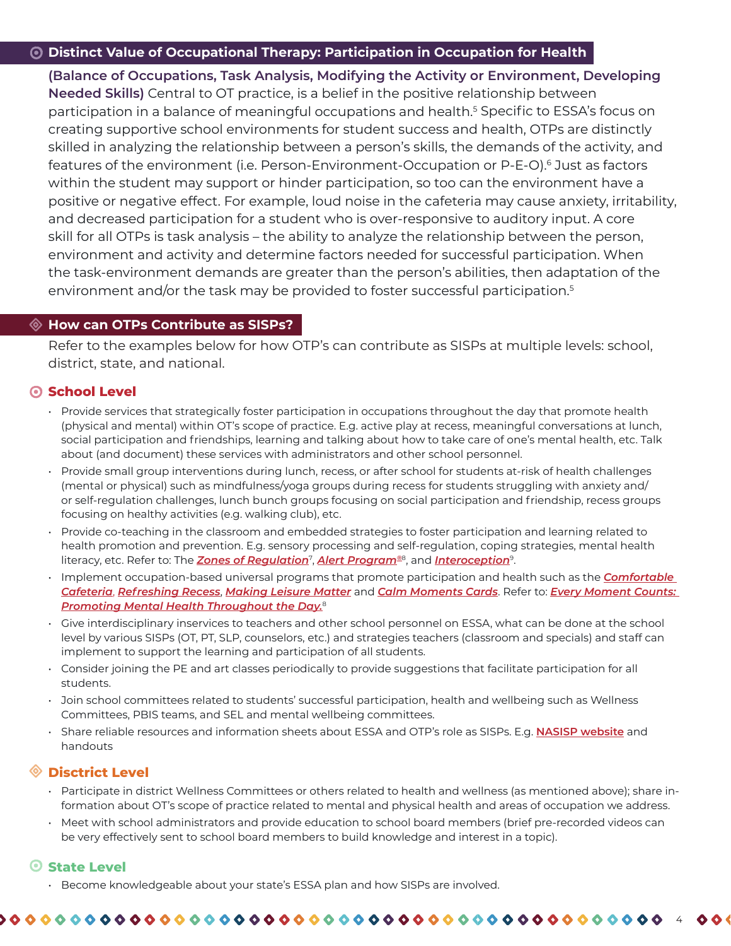# **Distinct Value of Occupational Therapy: Participation in Occupation for Health**

**(Balance of Occupations, Task Analysis, Modifying the Activity or Environment, Developing Needed Skills)** Central to OT practice, is a belief in the positive relationship between participation in a balance of meaningful occupations and health.<sup>5</sup> Specific to ESSA's focus on creating supportive school environments for student success and health, OTPs are distinctly skilled in analyzing the relationship between a person's skills, the demands of the activity, and features of the environment (i.e. Person-Environment-Occupation or P-E-O).<sup>6</sup> Just as factors within the student may support or hinder participation, so too can the environment have a positive or negative effect. For example, loud noise in the cafeteria may cause anxiety, irritability, and decreased participation for a student who is over-responsive to auditory input. A core skill for all OTPs is task analysis – the ability to analyze the relationship between the person, environment and activity and determine factors needed for successful participation. When the task-environment demands are greater than the person's abilities, then adaptation of the environment and/or the task may be provided to foster successful participation.<sup>5</sup>

# **How can OTPs Contribute as SISPs?**

Refer to the examples below for how OTP's can contribute as SISPs at multiple levels: school, district, state, and national.

# **8** School Level

- Provide services that strategically foster participation in occupations throughout the day that promote health (physical and mental) within OT's scope of practice. E.g. active play at recess, meaningful conversations at lunch, social participation and friendships, learning and talking about how to take care of one's mental health, etc. Talk about (and document) these services with administrators and other school personnel.
- Provide small group interventions during lunch, recess, or after school for students at-risk of health challenges (mental or physical) such as mindfulness/yoga groups during recess for students struggling with anxiety and/ or self-regulation challenges, lunch bunch groups focusing on social participation and friendship, recess groups focusing on healthy activities (e.g. walking club), etc.
- Provide co-teaching in the classroom and embedded strategies to foster participation and learning related to health promotion and prevention. E.g. sensory processing and self-regulation, coping strategies, mental health literacy, etc. Refer to: The *[Zones of Regulation](https://zonesofregulation.com/index.html)*<sup>7</sup> , *[Alert Program®](https://www.alertprogram.com/)*8, and *[Interoception](https://www.kelly-mahler.com/)*9.
- Implement occupation-based universal programs that promote participation and health such as the *[Comfortable](https://everymomentcounts.org/comfortable-cafeteria/) [Cafeteria](https://everymomentcounts.org/comfortable-cafeteria/)*, *[Refreshing Recess](https://everymomentcounts.org/refreshing-recess/)*, *[Making Leisure Matter](https://everymomentcounts.org/making-leisure-matter/)* and *[Calm Moments Cards](https://everymomentcounts.org/calm-moments-cards/)*. Refer to: *[Every Moment Counts:](https://everymomentcounts.org/) [Promoting Mental Health Throughout the Day.](https://everymomentcounts.org/)*<sup>8</sup>
- Give interdisciplinary inservices to teachers and other school personnel on ESSA, what can be done at the school level by various SISPs (OT, PT, SLP, counselors, etc.) and strategies teachers (classroom and specials) and staff can implement to support the learning and participation of all students.
- Consider joining the PE and art classes periodically to provide suggestions that facilitate participation for all students.
- Join school committees related to students' successful participation, health and wellbeing such as Wellness Committees, PBIS teams, and SEL and mental wellbeing committees.
- Share reliable resources and information sheets about ESSA and OTP's role as SISPs. E.g. **[NASISP website](http://nasisp.org/)** and handouts

# **Disctrict Level**

- Participate in district Wellness Committees or others related to health and wellness (as mentioned above); share information about OT's scope of practice related to mental and physical health and areas of occupation we address.
- Meet with school administrators and provide education to school board members (brief pre-recorded videos can be very effectively sent to school board members to build knowledge and interest in a topic).

# **State Level**

• Become knowledgeable about your state's ESSA plan and how SISPs are involved.